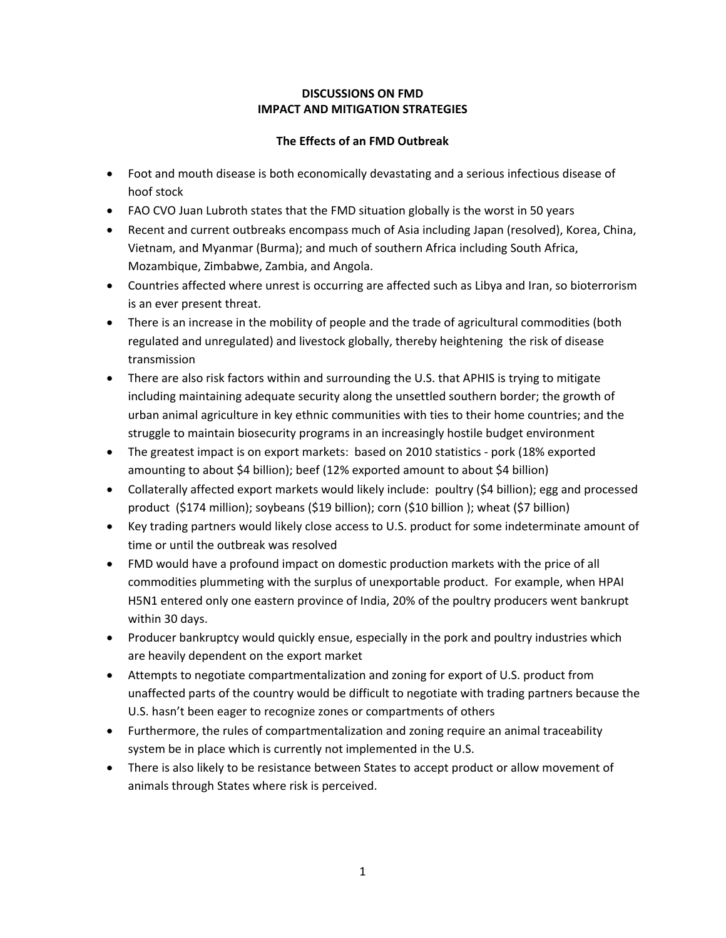## **DISCUSSIONS ON FMD IMPACT AND MITIGATION STRATEGIES**

## **The Effects of an FMD Outbreak**

- Foot and mouth disease is both economically devastating and a serious infectious disease of hoof stock
- FAO CVO Juan Lubroth states that the FMD situation globally is the worst in 50 years
- Recent and current outbreaks encompass much of Asia including Japan (resolved), Korea, China, Vietnam, and Myanmar (Burma); and much of southern Africa including South Africa, Mozambique, Zimbabwe, Zambia, and Angola.
- Countries affected where unrest is occurring are affected such as Libya and Iran, so bioterrorism is an ever present threat.
- There is an increase in the mobility of people and the trade of agricultural commodities (both regulated and unregulated) and livestock globally, thereby heightening the risk of disease transmission
- There are also risk factors within and surrounding the U.S. that APHIS is trying to mitigate including maintaining adequate security along the unsettled southern border; the growth of urban animal agriculture in key ethnic communities with ties to their home countries; and the struggle to maintain biosecurity programs in an increasingly hostile budget environment
- The greatest impact is on export markets: based on 2010 statistics pork (18% exported amounting to about \$4 billion); beef (12% exported amount to about \$4 billion)
- Collaterally affected export markets would likely include: poultry (\$4 billion); egg and processed product (\$174 million); soybeans (\$19 billion); corn (\$10 billion ); wheat (\$7 billion)
- Key trading partners would likely close access to U.S. product for some indeterminate amount of time or until the outbreak was resolved
- FMD would have a profound impact on domestic production markets with the price of all commodities plummeting with the surplus of unexportable product. For example, when HPAI H5N1 entered only one eastern province of India, 20% of the poultry producers went bankrupt within 30 days.
- Producer bankruptcy would quickly ensue, especially in the pork and poultry industries which are heavily dependent on the export market
- Attempts to negotiate compartmentalization and zoning for export of U.S. product from unaffected parts of the country would be difficult to negotiate with trading partners because the U.S. hasn't been eager to recognize zones or compartments of others
- Furthermore, the rules of compartmentalization and zoning require an animal traceability system be in place which is currently not implemented in the U.S.
- There is also likely to be resistance between States to accept product or allow movement of animals through States where risk is perceived.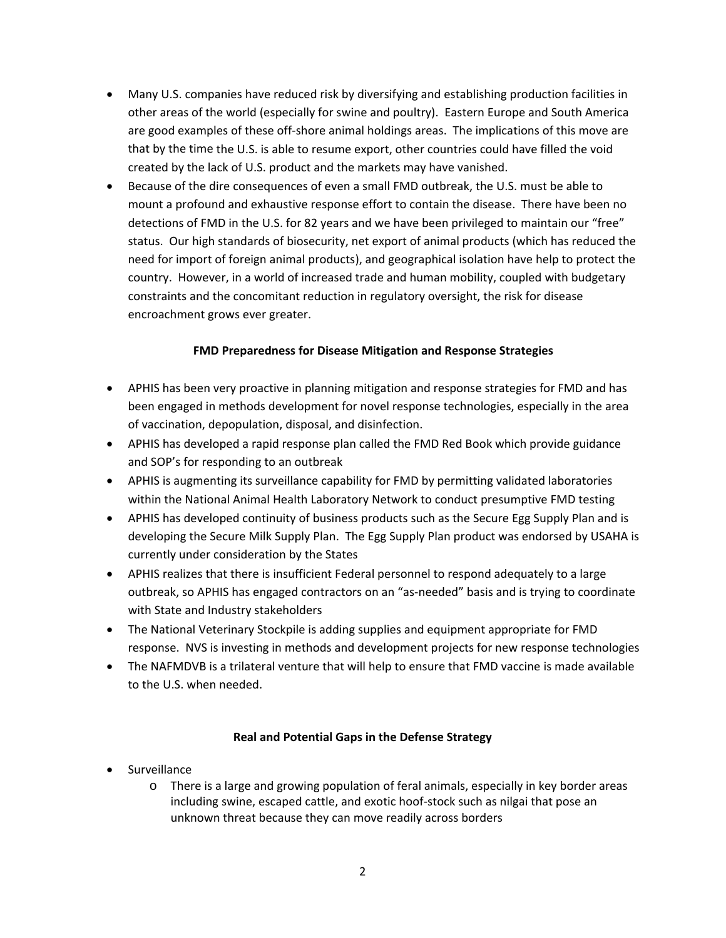- Many U.S. companies have reduced risk by diversifying and establishing production facilities in other areas of the world (especially for swine and poultry). Eastern Europe and South America are good examples of these off-shore animal holdings areas. The implications of this move are that by the time the U.S. is able to resume export, other countries could have filled the void created by the lack of U.S. product and the markets may have vanished.
- Because of the dire consequences of even a small FMD outbreak, the U.S. must be able to mount a profound and exhaustive response effort to contain the disease. There have been no detections of FMD in the U.S. for 82 years and we have been privileged to maintain our "free" status. Our high standards of biosecurity, net export of animal products (which has reduced the need for import of foreign animal products), and geographical isolation have help to protect the country. However, in a world of increased trade and human mobility, coupled with budgetary constraints and the concomitant reduction in regulatory oversight, the risk for disease encroachment grows ever greater.

## **FMD Preparedness for Disease Mitigation and Response Strategies**

- APHIS has been very proactive in planning mitigation and response strategies for FMD and has been engaged in methods development for novel response technologies, especially in the area of vaccination, depopulation, disposal, and disinfection.
- APHIS has developed a rapid response plan called the FMD Red Book which provide guidance and SOP's for responding to an outbreak
- APHIS is augmenting its surveillance capability for FMD by permitting validated laboratories within the National Animal Health Laboratory Network to conduct presumptive FMD testing
- APHIS has developed continuity of business products such as the Secure Egg Supply Plan and is developing the Secure Milk Supply Plan. The Egg Supply Plan product was endorsed by USAHA is currently under consideration by the States
- APHIS realizes that there is insufficient Federal personnel to respond adequately to a large outbreak, so APHIS has engaged contractors on an "as‐needed" basis and is trying to coordinate with State and Industry stakeholders
- The National Veterinary Stockpile is adding supplies and equipment appropriate for FMD response. NVS is investing in methods and development projects for new response technologies
- The NAFMDVB is a trilateral venture that will help to ensure that FMD vaccine is made available to the U.S. when needed.

## **Real and Potential Gaps in the Defense Strategy**

- **•** Surveillance
	- o There is a large and growing population of feral animals, especially in key border areas including swine, escaped cattle, and exotic hoof‐stock such as nilgai that pose an unknown threat because they can move readily across borders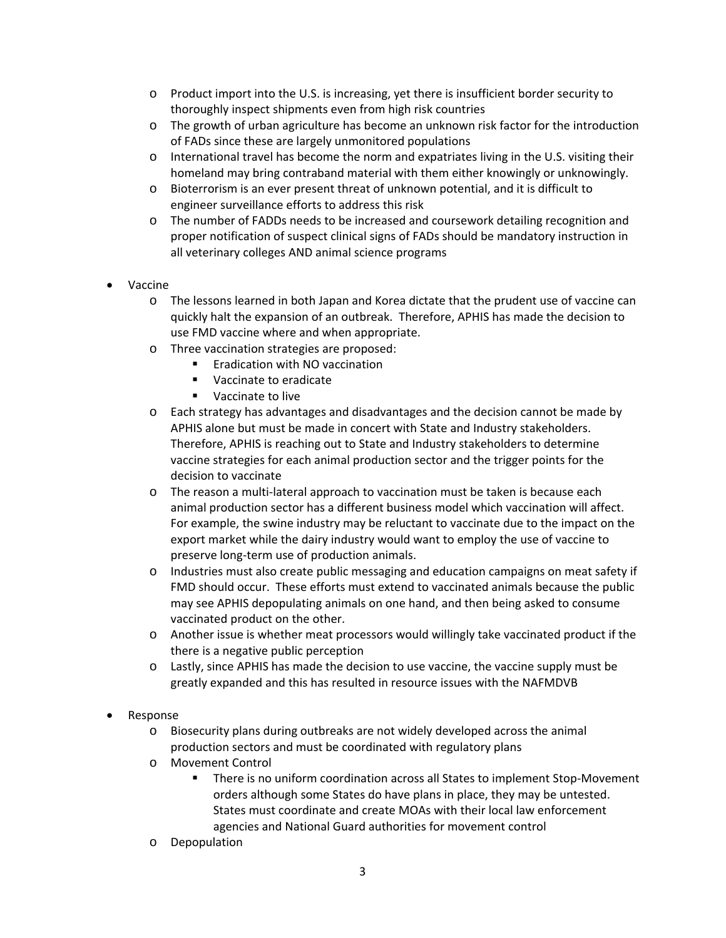- o Product import into the U.S. is increasing, yet there is insufficient border security to thoroughly inspect shipments even from high risk countries
- o The growth of urban agriculture has become an unknown risk factor for the introduction of FADs since these are largely unmonitored populations
- o International travel has become the norm and expatriates living in the U.S. visiting their homeland may bring contraband material with them either knowingly or unknowingly.
- o Bioterrorism is an ever present threat of unknown potential, and it is difficult to engineer surveillance efforts to address this risk
- o The number of FADDs needs to be increased and coursework detailing recognition and proper notification of suspect clinical signs of FADs should be mandatory instruction in all veterinary colleges AND animal science programs
- Vaccine
	- o The lessons learned in both Japan and Korea dictate that the prudent use of vaccine can quickly halt the expansion of an outbreak. Therefore, APHIS has made the decision to use FMD vaccine where and when appropriate.
	- o Three vaccination strategies are proposed:
		- Eradication with NO vaccination
		- **Vaccinate to eradicate**
		- **vaccinate to live**
	- o Each strategy has advantages and disadvantages and the decision cannot be made by APHIS alone but must be made in concert with State and Industry stakeholders. Therefore, APHIS is reaching out to State and Industry stakeholders to determine vaccine strategies for each animal production sector and the trigger points for the decision to vaccinate
	- o The reason a multi‐lateral approach to vaccination must be taken is because each animal production sector has a different business model which vaccination will affect. For example, the swine industry may be reluctant to vaccinate due to the impact on the export market while the dairy industry would want to employ the use of vaccine to preserve long‐term use of production animals.
	- o Industries must also create public messaging and education campaigns on meat safety if FMD should occur. These efforts must extend to vaccinated animals because the public may see APHIS depopulating animals on one hand, and then being asked to consume vaccinated product on the other.
	- o Another issue is whether meat processors would willingly take vaccinated product if the there is a negative public perception
	- o Lastly, since APHIS has made the decision to use vaccine, the vaccine supply must be greatly expanded and this has resulted in resource issues with the NAFMDVB
- Response
	- o Biosecurity plans during outbreaks are not widely developed across the animal production sectors and must be coordinated with regulatory plans
	- o Movement Control
		- There is no uniform coordination across all States to implement Stop-Movement orders although some States do have plans in place, they may be untested. States must coordinate and create MOAs with their local law enforcement agencies and National Guard authorities for movement control
	- o Depopulation